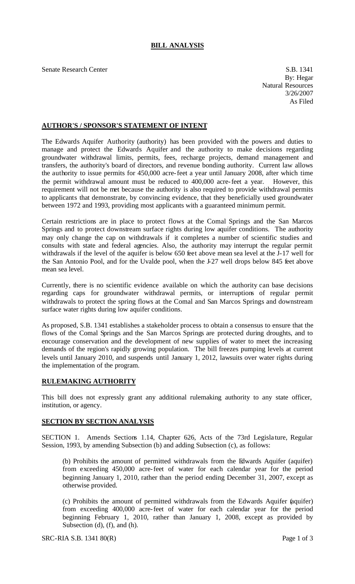## **BILL ANALYSIS**

Senate Research Center S.B. 1341

By: Hegar Natural Resources 3/26/2007 As Filed

## **AUTHOR'S / SPONSOR'S STATEMENT OF INTENT**

The Edwards Aquifer Authority (authority) has been provided with the powers and duties to manage and protect the Edwards Aquifer and the authority to make decisions regarding groundwater withdrawal limits, permits, fees, recharge projects, demand management and transfers, the authority's board of directors, and revenue bonding authority. Current law allows the authority to issue permits for 450,000 acre-feet a year until January 2008, after which time the permit withdrawal amount must be reduced to 400,000 acre-feet a year. However, this requirement will not be met because the authority is also required to provide withdrawal permits to applicants that demonstrate, by convincing evidence, that they beneficially used groundwater between 1972 and 1993, providing most applicants with a guaranteed minimum permit.

Certain restrictions are in place to protect flows at the Comal Springs and the San Marcos Springs and to protect downstream surface rights during low aquifer conditions. The authority may only change the cap on withdrawals if it completes a number of scientific studies and consults with state and federal agencies. Also, the authority may interrupt the regular permit withdrawals if the level of the aquifer is below 650 feet above mean sea level at the J-17 well for the San Antonio Pool, and for the Uvalde pool, when the J-27 well drops below 845 feet above mean sea level.

Currently, there is no scientific evidence available on which the authority can base decisions regarding caps for groundwater withdrawal permits, or interruptions of regular permit withdrawals to protect the spring flows at the Comal and San Marcos Springs and downstream surface water rights during low aquifer conditions.

As proposed, S.B. 1341 establishes a stakeholder process to obtain a consensus to ensure that the flows of the Comal Springs and the San Marcos Springs are protected during droughts, and to encourage conservation and the development of new supplies of water to meet the increasing demands of the region's rapidly growing population. The bill freezes pumping levels at current levels until January 2010, and suspends until January 1, 2012, lawsuits over water rights during the implementation of the program.

## **RULEMAKING AUTHORITY**

This bill does not expressly grant any additional rulemaking authority to any state officer, institution, or agency.

## **SECTION BY SECTION ANALYSIS**

SECTION 1. Amends Sections 1.14, Chapter 626, Acts of the 73rd Legisla ture, Regular Session, 1993, by amending Subsection (b) and adding Subsection (c), as follows:

(b) Prohibits the amount of permitted withdrawals from the Edwards Aquifer (aquifer) from exceeding 450,000 acre-feet of water for each calendar year for the period beginning January 1, 2010, rather than the period ending December 31, 2007, except as otherwise provided.

(c) Prohibits the amount of permitted withdrawals from the Edwards Aquifer (aquifer) from exceeding 400,000 acre-feet of water for each calendar year for the period beginning February 1, 2010, rather than January 1, 2008, except as provided by Subsection (d), (f), and (h).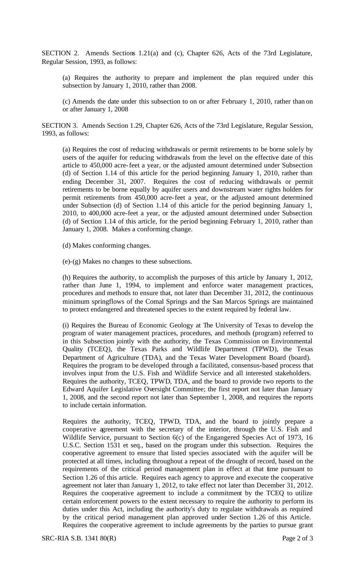SECTION 2. Amends Sections 1.21(a) and (c), Chapter 626, Acts of the 73rd Legislature, Regular Session, 1993, as follows:

(a) Requires the authority to prepare and implement the plan required under this subsection by January 1, 2010, rather than 2008.

(c) Amends the date under this subsection to on or after February 1, 2010, rather than on or after January 1, 2008

SECTION 3. Amends Section 1.29, Chapter 626, Acts of the 73rd Legislature, Regular Session, 1993, as follows:

(a) Requires the cost of reducing withdrawals or permit retirements to be borne sole ly by users of the aquifer for reducing withdrawals from the level on the effective date of this article to 450,000 acre-feet a year, or the adjusted amount determined under Subsection (d) of Section 1.14 of this article for the period beginning January 1, 2010, rather than ending December 31, 2007. Requires the cost of reducing withdrawals or permit retirements to be borne equally by aquifer users and downstream water rights holders for permit retirements from 450,000 acre-feet a year, or the adjusted amount determined under Subsection (d) of Section 1.14 of this article for the period beginning January 1, 2010, to 400,000 acre-feet a year, or the adjusted amount determined under Subsection (d) of Section 1.14 of this article, for the period beginning February 1, 2010, rather than January 1, 2008. Makes a conforming change.

(d) Makes conforming changes.

(e)-(g) Makes no changes to these subsections.

(h) Requires the authority, to accomplish the purposes of this article by January 1, 2012, rather than June 1, 1994, to implement and enforce water management practices, procedures and methods to ensure that, not later than December 31, 2012, the continuous minimum springflows of the Comal Springs and the San Marcos Springs are maintained to protect endangered and threatened species to the extent required by federal law.

(i) Requires the Bureau of Economic Geology at The University of Texas to develop the program of water management practices, procedures, and methods (program) referred to in this Subsection jointly with the authority, the Texas Commission on Environmental Quality (TCEQ), the Texas Parks and Wildlife Department (TPWD), the Texas Department of Agriculture (TDA), and the Texas Water Development Board (board). Requires the program to be developed through a facilitated, consensus-based process that involves input from the U.S. Fish and Wildlife Service and all interested stakeholders. Requires the authority, TCEQ, TPWD, TDA, and the board to provide two reports to the Edward Aquifer Legislative Oversight Committee; the first report not later than January 1, 2008, and the second report not later than September 1, 2008, and requires the reports to include certain information.

Requires the authority, TCEQ, TPWD, TDA, and the board to jointly prepare a cooperative agreement with the secretary of the interior, through the U.S. Fish and Wildlife Service, pursuant to Section 6(c) of the Engangered Species Act of 1973, 16 U.S.C. Section 1531 et seq., based on the program under this subsection. Requires the cooperative agreement to ensure that listed species associated with the aquifer will be protected at all times, including throughout a repeat of the drought of record, based on the requirements of the critical period management plan in effect at that time pursuant to Section 1.26 of this article. Requires each agency to approve and execute the cooperative agreement not later than January 1, 2012, to take effect not later than December 31, 2012. Requires the cooperative agreement to include a commitment by the TCEQ to utilize certain enforcement powers to the extent necessary to require the authority to perform its duties under this Act, including the authority's duty to regulate withdrawals as required by the critical period management plan approved under Section 1.26 of this Article. Requires the cooperative agreement to include agreements by the parties to pursue grant